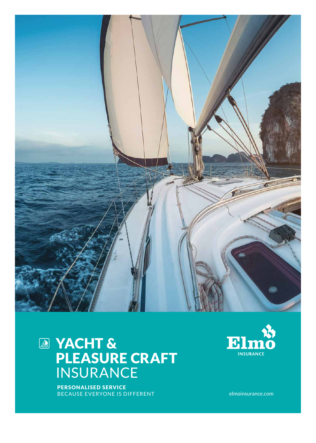

## YACHT & PLEASURE CRAFT **INSURANCE**

PERSONALISED SERVICE BECAUSE EVERYONE IS DIFFERENT



elmoinsurance.com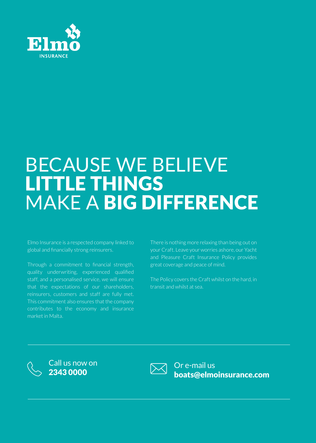

# BECAUSE WE BELIEVE LITTLE THINGS MAKE A BIG DIFFERENCE

Elmo Insurance is a respected company linked to global and financially strong reinsurers.

Through a commitment to financial strength, quality underwriting, experienced qualified staff, and a personalised service, we will ensure that the expectations of our shareholders, reinsurers, customers and staff are fully met. This commitment also ensures that the company contributes to the economy and insurance market in Malta.

There is nothing more relaxing than being out on your Craft. Leave your worries ashore, our Yacht and Pleasure Craft Insurance Policy provides great coverage and peace of mind.

The Policy covers the Craft whilst on the hard, in transit and whilst at sea.



Call us now on 2343 0000



Or e-mail us boats@elmoinsurance.com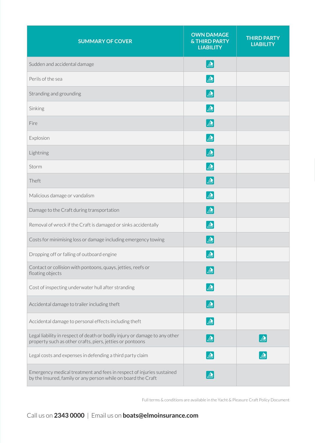| <b>SUMMARY OF COVER</b>                                                                                                                  | <b>OWN DAMAGE</b><br><b>&amp; THIRD PARTY</b><br><b>LIABILITY</b> | <b>THIRD PARTY</b><br><b>LIABILITY</b> |
|------------------------------------------------------------------------------------------------------------------------------------------|-------------------------------------------------------------------|----------------------------------------|
| Sudden and accidental damage                                                                                                             | $\Delta$                                                          |                                        |
| Perils of the sea                                                                                                                        | $\Delta$                                                          |                                        |
| Stranding and grounding                                                                                                                  | $\triangle$                                                       |                                        |
| Sinking                                                                                                                                  | $\triangle$                                                       |                                        |
| Fire                                                                                                                                     | $\Delta$                                                          |                                        |
| Explosion                                                                                                                                | $\triangleq$                                                      |                                        |
| Lightning                                                                                                                                | $\triangleq$                                                      |                                        |
| Storm                                                                                                                                    | $\triangle$                                                       |                                        |
| Theft                                                                                                                                    | $\Delta$                                                          |                                        |
| Malicious damage or vandalism                                                                                                            | ⚠                                                                 |                                        |
| Damage to the Craft during transportation                                                                                                | $\Delta$                                                          |                                        |
| Removal of wreck if the Craft is damaged or sinks accidentally                                                                           | $\Delta$                                                          |                                        |
| Costs for minimising loss or damage including emergency towing                                                                           | ⚠                                                                 |                                        |
| Dropping off or falling of outboard engine                                                                                               |                                                                   |                                        |
| Contact or collision with pontoons, quays, jetties, reefs or<br>floating objects                                                         |                                                                   |                                        |
| Cost of inspecting underwater hull after stranding                                                                                       | $\Delta$                                                          |                                        |
| Accidental damage to trailer including theft                                                                                             | $\triangle$                                                       |                                        |
| Accidental damage to personal effects including theft                                                                                    | $\triangle$                                                       |                                        |
| Legal liability in respect of death or bodily injury or damage to any other<br>property such as other crafts, piers, jetties or pontoons | $\triangleq$                                                      | $\Delta$                               |
| Legal costs and expenses in defending a third party claim                                                                                | $\triangleq$                                                      |                                        |
| Emergency medical treatment and fees in respect of injuries sustained<br>by the Insured, family or any person while on board the Craft   | அ                                                                 |                                        |

Full terms & conditions are available in the Yacht & Pleasure Craft Policy Document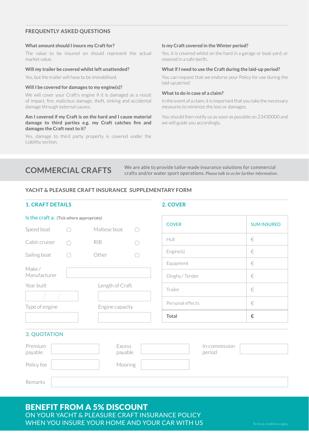#### **FREQUENTLY ASKED QUESTIONS**

#### **What amount should I insure my Craft for?**

The value to be insured on should represent the actual market value.

#### **Will my trailer be covered whilst left unattended?**

Yes, but the trailer will have to be immobilised.

#### **Will I be covered for damages to my engine(s)?**

We will cover your Craft's engine if it is damaged as a result of impact, fire, malicious damage, theft, sinking and accidental damage through external causes.

#### **Am I covered if my Craft is on the hard and I cause material damage to third parties e.g. my Craft catches fire and damages the Craft next to it?**

Yes, damage to third party property is covered under the Liability section.

#### **Is my Craft covered in the Winter period?**

Yes, it is covered whilst on the hard in a garage or boat yard, or moored in a safe berth.

#### **What if I need to use the Craft during the laid-up period?**

You can request that we endorse your Policy for use during the laid-up period.

#### **What to do in case of a claim?**

In the event of a claim, it is important that you take the necessary measures to minimize the loss or damages.

You should then notify us as soon as possible on 23430000 and we will guide you accordingly.

Is the craft a: (Tick where appropriate)

 $\bigcirc$ 

 $\bigcirc$ 

 $\bigcirc$ 

**COMMERCIAL CRAFTS** We are able to provide tailor-made insurance solutions for commercial crafts and/or water sport operations. *Please talk to us for further information*.

#### **YACHT & PLEASURE CRAFT INSURANCE SUPPLEMENTARY FORM**

Maltese boat

 $\bigcirc$ 

 $\bigcirc$ 

 $\bigcirc$ 

Length of Craft

Engine capacity

RIB

Other

#### **1. CRAFT DETAILS 2. COVER**

Speed boat

Cabin cruiser

Sailing boat

Make / Manufacturer

Year built

| <b>COVER</b>     | <b>SUM INSURED</b> |
|------------------|--------------------|
| Hull             | $\in$              |
| Engine(s)        | €                  |
| Equipment        | €                  |
| Dinghy / Tender  | €                  |
| Trailer          | €                  |
| Personal effects | €                  |
| <b>Total</b>     | €                  |

#### **3. QUOTATION**

Type of engine

| Premium<br>payable | Excess<br>payable | In-commission<br>period |
|--------------------|-------------------|-------------------------|
| Policy fee         | Mooring           |                         |
| Remarks            |                   |                         |

#### BENEFIT FROM A 5% DISCOUNT ON YOUR YACHT & PLEASURE CRAFT INSURANCE POLICY WHEN YOU INSURE YOUR HOME AND YOUR CAR WITH US The mis & conditions apply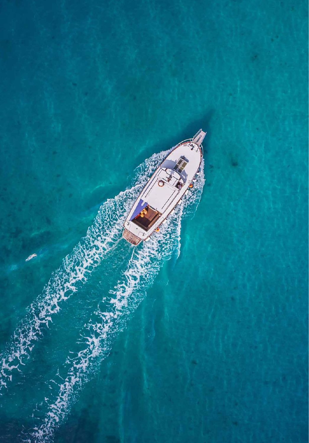